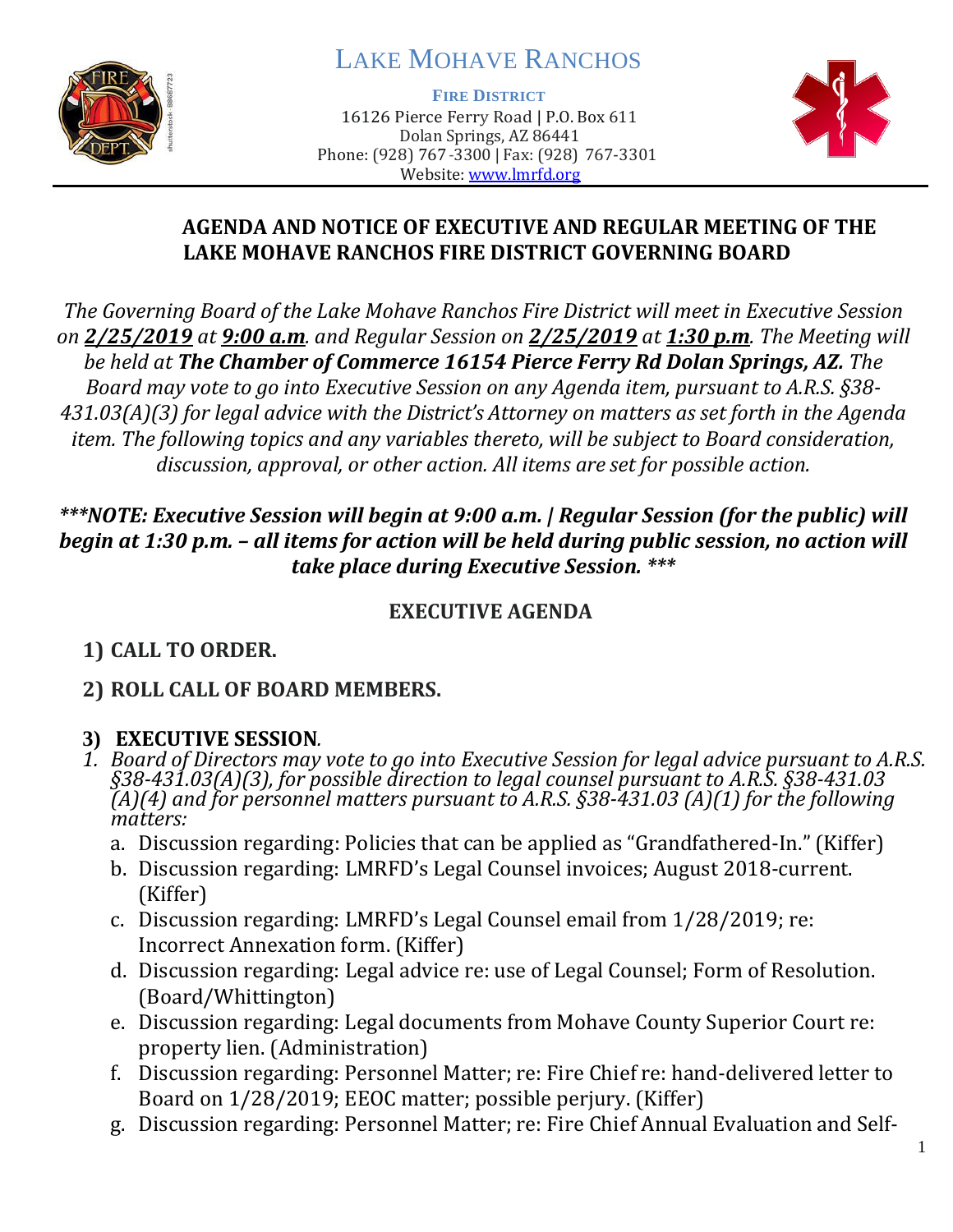

# LAKE MOHAVE RANCHOS

**FIRE DISTRICT**

16126 Pierce Ferry Road | P.O. Box 611 Dolan Springs, AZ 86441 Phone: (928) 767-3300 | Fax: (928) 767-3301 Website: [www.lmrfd.org](http://www.lmrfd.org/)



#### **AGENDA AND NOTICE OF EXECUTIVE AND REGULAR MEETING OF THE LAKE MOHAVE RANCHOS FIRE DISTRICT GOVERNING BOARD**

*The Governing Board of the Lake Mohave Ranchos Fire District will meet in Executive Session on 2/25/2019 at 9:00 a.m. and Regular Session on 2/25/2019 at 1:30 p.m. The Meeting will be held at The Chamber of Commerce 16154 Pierce Ferry Rd Dolan Springs, AZ. The Board may vote to go into Executive Session on any Agenda item, pursuant to A.R.S. §38- 431.03(A)(3) for legal advice with the District's Attorney on matters as set forth in the Agenda item. The following topics and any variables thereto, will be subject to Board consideration, discussion, approval, or other action. All items are set for possible action.*

#### *\*\*\*NOTE: Executive Session will begin at 9:00 a.m. | Regular Session (for the public) will begin at 1:30 p.m. – all items for action will be held during public session, no action will take place during Executive Session. \*\*\**

## **EXECUTIVE AGENDA**

# **1) CALL TO ORDER.**

## **2) ROLL CALL OF BOARD MEMBERS.**

## **3) EXECUTIVE SESSION***.*

- *1. Board of Directors may vote to go into Executive Session for legal advice pursuant to A.R.S. §38-431.03(A)(3), for possible direction to legal counsel pursuant to A.R.S. §38-431.03 (A)(4) and for personnel matters pursuant to A.R.S. §38-431.03 (A)(1) for the following matters:*
	- a. Discussion regarding: Policies that can be applied as "Grandfathered-In." (Kiffer)
	- b. Discussion regarding: LMRFD's Legal Counsel invoices; August 2018-current. (Kiffer)
	- c. Discussion regarding: LMRFD's Legal Counsel email from 1/28/2019; re: Incorrect Annexation form. (Kiffer)
	- d. Discussion regarding: Legal advice re: use of Legal Counsel; Form of Resolution. (Board/Whittington)
	- e. Discussion regarding: Legal documents from Mohave County Superior Court re: property lien. (Administration)
	- f. Discussion regarding: Personnel Matter; re: Fire Chief re: hand-delivered letter to Board on 1/28/2019; EEOC matter; possible perjury. (Kiffer)
	- g. Discussion regarding: Personnel Matter; re: Fire Chief Annual Evaluation and Self-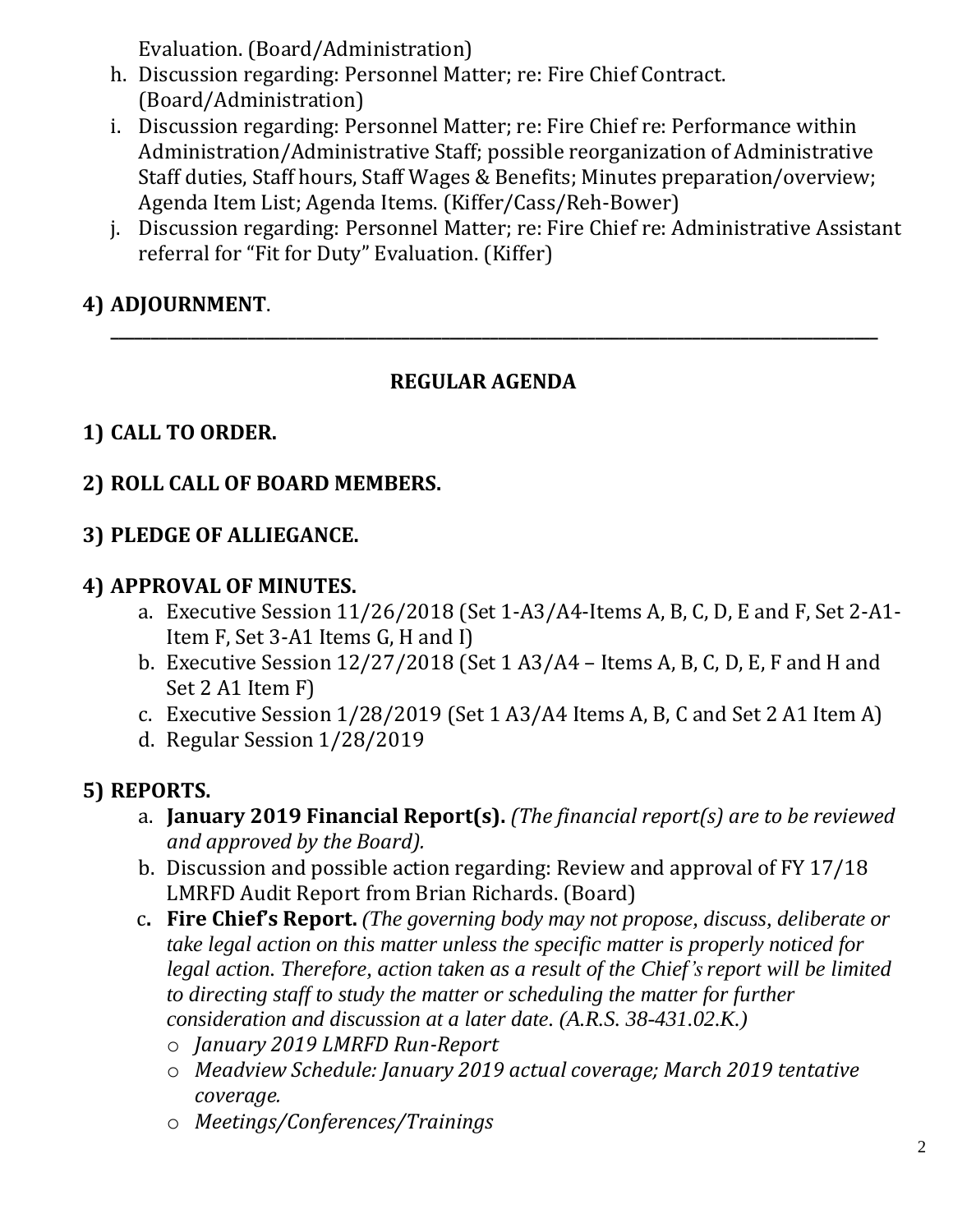Evaluation. (Board/Administration)

- h. Discussion regarding: Personnel Matter; re: Fire Chief Contract. (Board/Administration)
- i. Discussion regarding: Personnel Matter; re: Fire Chief re: Performance within Administration/Administrative Staff; possible reorganization of Administrative Staff duties, Staff hours, Staff Wages & Benefits; Minutes preparation/overview; Agenda Item List; Agenda Items. (Kiffer/Cass/Reh-Bower)
- j. Discussion regarding: Personnel Matter; re: Fire Chief re: Administrative Assistant referral for "Fit for Duty" Evaluation. (Kiffer)

# **4) ADJOURNMENT**.

#### **REGULAR AGENDA**

**\_\_\_\_\_\_\_\_\_\_\_\_\_\_\_\_\_\_\_\_\_\_\_\_\_\_\_\_\_\_\_\_\_\_\_\_\_\_\_\_\_\_\_\_\_\_\_\_\_\_\_\_\_\_\_\_\_\_\_\_\_\_\_\_\_\_\_\_\_\_\_\_\_\_\_\_\_\_\_\_\_\_\_\_\_\_\_\_\_\_\_\_\_\_\_**

# **1) CALL TO ORDER.**

#### **2) ROLL CALL OF BOARD MEMBERS.**

#### **3) PLEDGE OF ALLIEGANCE.**

#### **4) APPROVAL OF MINUTES.**

- a. Executive Session 11/26/2018 (Set 1-A3/A4-Items A, B, C, D, E and F, Set 2-A1- Item F, Set 3-A1 Items G, H and I)
- b. Executive Session 12/27/2018 (Set 1 A3/A4 Items A, B, C, D, E, F and H and Set 2 A1 Item F)
- c. Executive Session 1/28/2019 (Set 1 A3/A4 Items A, B, C and Set 2 A1 Item A)
- d. Regular Session 1/28/2019

## **5) REPORTS.**

- a. **January 2019 Financial Report(s).** *(The financial report(s) are to be reviewed and approved by the Board).*
- b. Discussion and possible action regarding: Review and approval of FY 17/18 LMRFD Audit Report from Brian Richards. (Board)
- c**. Fire Chief's Report.** *(The governing body may not propose, discuss, deliberate or take legal action on this matter unless the specific matter is properly noticed for legal action. Therefore, action taken as a result of the Chief's report will be limited to directing staff to study the matter or scheduling the matter for further consideration and discussion at a later date. (A.R.S. 38-431.02.K.)*
	- o *January 2019 LMRFD Run-Report*
	- o *Meadview Schedule: January 2019 actual coverage; March 2019 tentative coverage.*
	- o *Meetings/Conferences/Trainings*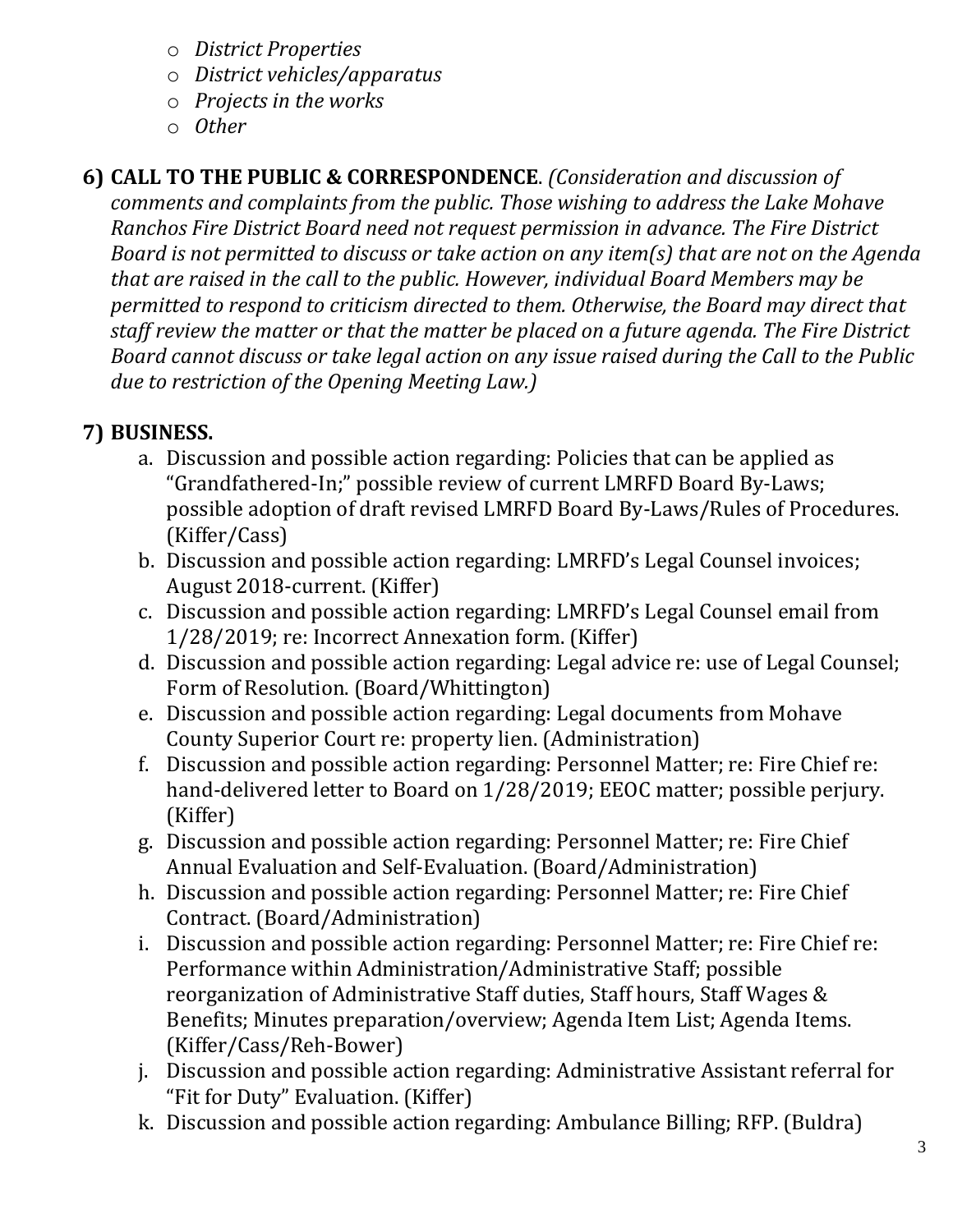- o *District Properties*
- o *District vehicles/apparatus*
- o *Projects in the works*
- o *Other*

# **6) CALL TO THE PUBLIC & CORRESPONDENCE**. *(Consideration and discussion of*

*comments and complaints from the public. Those wishing to address the Lake Mohave Ranchos Fire District Board need not request permission in advance. The Fire District Board is not permitted to discuss or take action on any item(s) that are not on the Agenda that are raised in the call to the public. However, individual Board Members may be permitted to respond to criticism directed to them. Otherwise, the Board may direct that staff review the matter or that the matter be placed on a future agenda. The Fire District Board cannot discuss or take legal action on any issue raised during the Call to the Public due to restriction of the Opening Meeting Law.)*

# **7) BUSINESS.**

- a. Discussion and possible action regarding: Policies that can be applied as "Grandfathered-In;" possible review of current LMRFD Board By-Laws; possible adoption of draft revised LMRFD Board By-Laws/Rules of Procedures. (Kiffer/Cass)
- b. Discussion and possible action regarding: LMRFD's Legal Counsel invoices; August 2018-current. (Kiffer)
- c. Discussion and possible action regarding: LMRFD's Legal Counsel email from 1/28/2019; re: Incorrect Annexation form. (Kiffer)
- d. Discussion and possible action regarding: Legal advice re: use of Legal Counsel; Form of Resolution. (Board/Whittington)
- e. Discussion and possible action regarding: Legal documents from Mohave County Superior Court re: property lien. (Administration)
- f. Discussion and possible action regarding: Personnel Matter; re: Fire Chief re: hand-delivered letter to Board on 1/28/2019; EEOC matter; possible perjury. (Kiffer)
- g. Discussion and possible action regarding: Personnel Matter; re: Fire Chief Annual Evaluation and Self-Evaluation. (Board/Administration)
- h. Discussion and possible action regarding: Personnel Matter; re: Fire Chief Contract. (Board/Administration)
- i. Discussion and possible action regarding: Personnel Matter; re: Fire Chief re: Performance within Administration/Administrative Staff; possible reorganization of Administrative Staff duties, Staff hours, Staff Wages & Benefits; Minutes preparation/overview; Agenda Item List; Agenda Items. (Kiffer/Cass/Reh-Bower)
- j. Discussion and possible action regarding: Administrative Assistant referral for "Fit for Duty" Evaluation. (Kiffer)
- k. Discussion and possible action regarding: Ambulance Billing; RFP. (Buldra)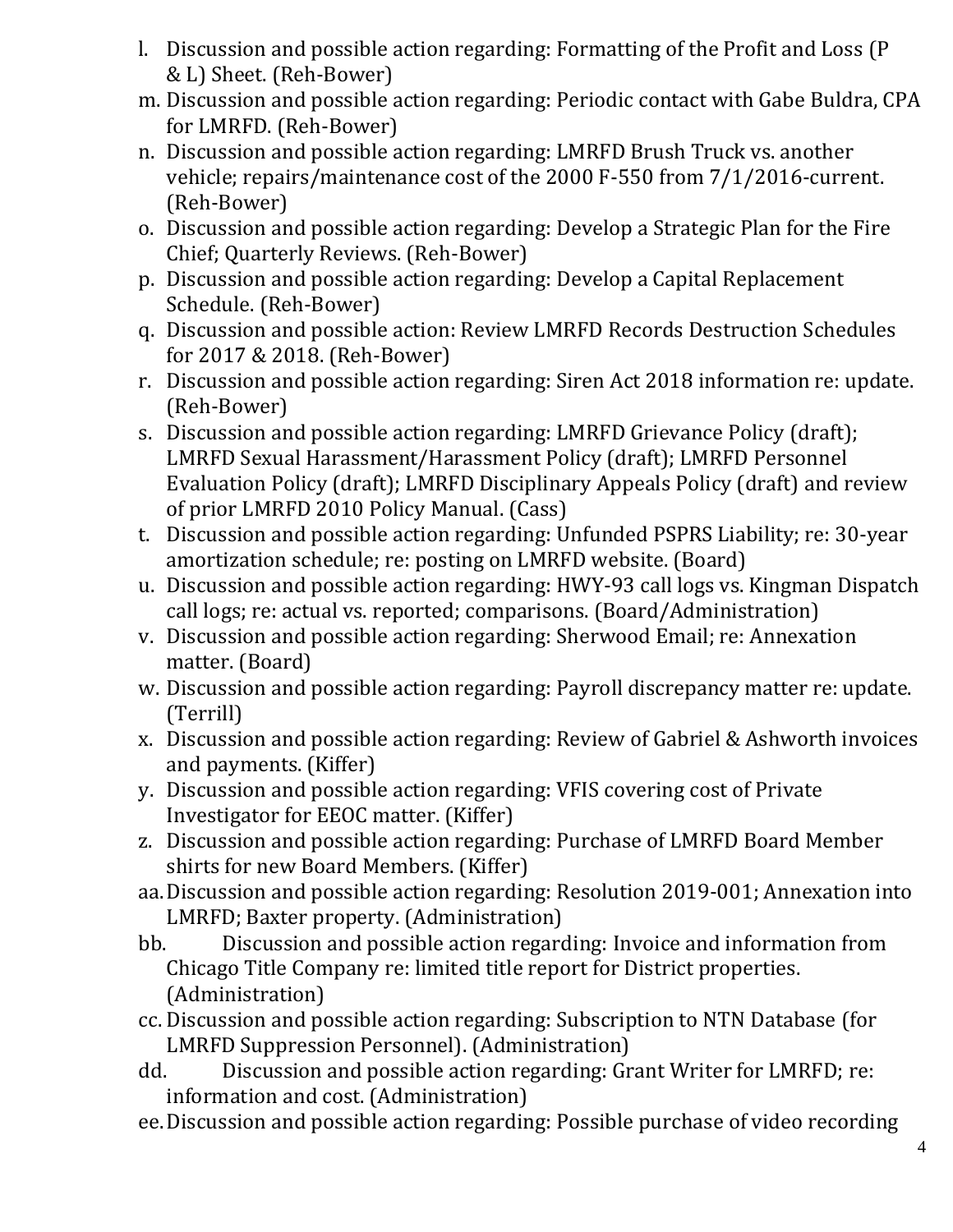- l. Discussion and possible action regarding: Formatting of the Profit and Loss (P & L) Sheet. (Reh-Bower)
- m. Discussion and possible action regarding: Periodic contact with Gabe Buldra, CPA for LMRFD. (Reh-Bower)
- n. Discussion and possible action regarding: LMRFD Brush Truck vs. another vehicle; repairs/maintenance cost of the 2000 F-550 from 7/1/2016-current. (Reh-Bower)
- o. Discussion and possible action regarding: Develop a Strategic Plan for the Fire Chief; Quarterly Reviews. (Reh-Bower)
- p. Discussion and possible action regarding: Develop a Capital Replacement Schedule. (Reh-Bower)
- q. Discussion and possible action: Review LMRFD Records Destruction Schedules for 2017 & 2018. (Reh-Bower)
- r. Discussion and possible action regarding: Siren Act 2018 information re: update. (Reh-Bower)
- s. Discussion and possible action regarding: LMRFD Grievance Policy (draft); LMRFD Sexual Harassment/Harassment Policy (draft); LMRFD Personnel Evaluation Policy (draft); LMRFD Disciplinary Appeals Policy (draft) and review of prior LMRFD 2010 Policy Manual. (Cass)
- t. Discussion and possible action regarding: Unfunded PSPRS Liability; re: 30-year amortization schedule; re: posting on LMRFD website. (Board)
- u. Discussion and possible action regarding: HWY-93 call logs vs. Kingman Dispatch call logs; re: actual vs. reported; comparisons. (Board/Administration)
- v. Discussion and possible action regarding: Sherwood Email; re: Annexation matter. (Board)
- w. Discussion and possible action regarding: Payroll discrepancy matter re: update. (Terrill)
- x. Discussion and possible action regarding: Review of Gabriel & Ashworth invoices and payments. (Kiffer)
- y. Discussion and possible action regarding: VFIS covering cost of Private Investigator for EEOC matter. (Kiffer)
- z. Discussion and possible action regarding: Purchase of LMRFD Board Member shirts for new Board Members. (Kiffer)
- aa.Discussion and possible action regarding: Resolution 2019-001; Annexation into LMRFD; Baxter property. (Administration)
- bb. Discussion and possible action regarding: Invoice and information from Chicago Title Company re: limited title report for District properties. (Administration)
- cc. Discussion and possible action regarding: Subscription to NTN Database (for LMRFD Suppression Personnel). (Administration)
- dd. Discussion and possible action regarding: Grant Writer for LMRFD; re: information and cost. (Administration)
- ee.Discussion and possible action regarding: Possible purchase of video recording